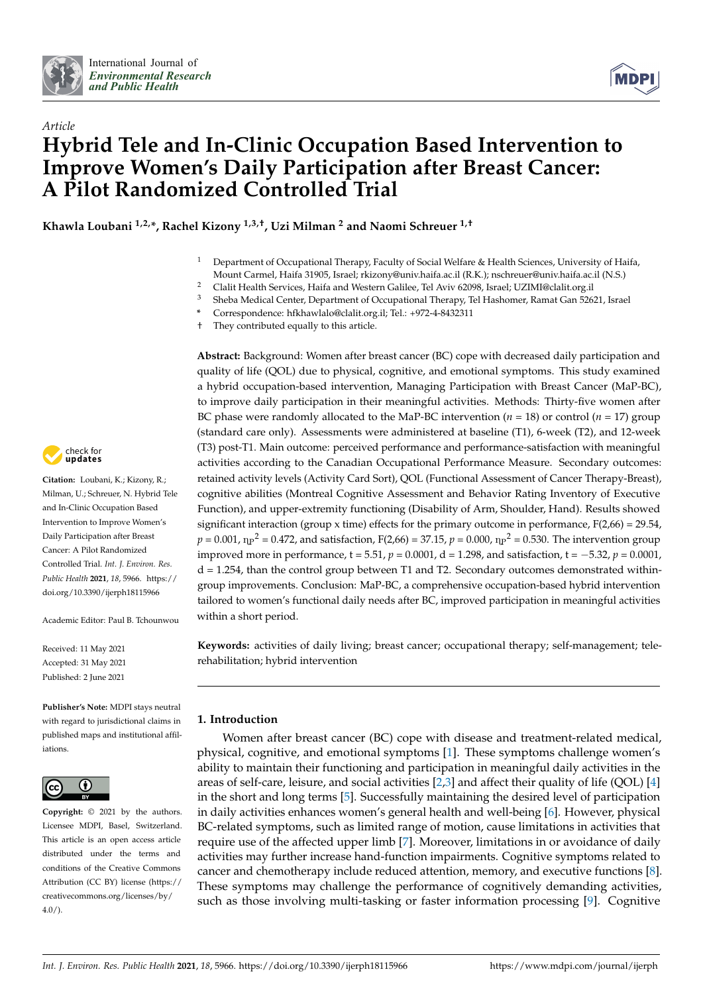

*Article*



# **Hybrid Tele and In-Clinic Occupation Based Intervention to Improve Women's Daily Participation after Breast Cancer: A Pilot Randomized Controlled Trial**

**Khawla Loubani 1,2,\*, Rachel Kizony 1,3,†, Uzi Milman <sup>2</sup> and Naomi Schreuer 1,†**

<sup>1</sup> Department of Occupational Therapy, Faculty of Social Welfare & Health Sciences, University of Haifa, Mount Carmel, Haifa 31905, Israel; rkizony@univ.haifa.ac.il (R.K.); nschreuer@univ.haifa.ac.il (N.S.)

<sup>2</sup> Clalit Health Services, Haifa and Western Galilee, Tel Aviv 62098, Israel; UZIMI@clalit.org.il<br><sup>3</sup> Sheba Medical Center Department of Occupational Therapy, Tel Heaborner Parnat Can 526

**\*** Correspondence: hfkhawlalo@clalit.org.il; Tel.: +972-4-8432311

† They contributed equally to this article.

**Abstract:** Background: Women after breast cancer (BC) cope with decreased daily participation and quality of life (QOL) due to physical, cognitive, and emotional symptoms. This study examined a hybrid occupation-based intervention, Managing Participation with Breast Cancer (MaP-BC), to improve daily participation in their meaningful activities. Methods: Thirty-five women after BC phase were randomly allocated to the MaP-BC intervention (*n* = 18) or control (*n* = 17) group (standard care only). Assessments were administered at baseline (T1), 6-week (T2), and 12-week (T3) post-T1. Main outcome: perceived performance and performance-satisfaction with meaningful activities according to the Canadian Occupational Performance Measure. Secondary outcomes: retained activity levels (Activity Card Sort), QOL (Functional Assessment of Cancer Therapy-Breast), cognitive abilities (Montreal Cognitive Assessment and Behavior Rating Inventory of Executive Function), and upper-extremity functioning (Disability of Arm, Shoulder, Hand). Results showed significant interaction (group x time) effects for the primary outcome in performance,  $F(2,66) = 29.54$ ,  $p = 0.001$ ,  $n_P^2 = 0.472$ , and satisfaction, F(2,66) = 37.15,  $p = 0.000$ ,  $n_P^2 = 0.530$ . The intervention group improved more in performance,  $t = 5.51$ ,  $p = 0.0001$ ,  $d = 1.298$ , and satisfaction,  $t = -5.32$ ,  $p = 0.0001$ ,  $d = 1.254$ , than the control group between T1 and T2. Secondary outcomes demonstrated withingroup improvements. Conclusion: MaP-BC, a comprehensive occupation-based hybrid intervention tailored to women's functional daily needs after BC, improved participation in meaningful activities within a short period.

**Keywords:** activities of daily living; breast cancer; occupational therapy; self-management; telerehabilitation; hybrid intervention

# **1. Introduction**

Women after breast cancer (BC) cope with disease and treatment-related medical, physical, cognitive, and emotional symptoms [\[1\]](#page-12-0). These symptoms challenge women's ability to maintain their functioning and participation in meaningful daily activities in the areas of self-care, leisure, and social activities  $[2,3]$  $[2,3]$  and affect their quality of life (QOL)  $[4]$ in the short and long terms [\[5\]](#page-12-4). Successfully maintaining the desired level of participation in daily activities enhances women's general health and well-being [\[6\]](#page-12-5). However, physical BC-related symptoms, such as limited range of motion, cause limitations in activities that require use of the affected upper limb [\[7\]](#page-12-6). Moreover, limitations in or avoidance of daily activities may further increase hand-function impairments. Cognitive symptoms related to cancer and chemotherapy include reduced attention, memory, and executive functions [\[8\]](#page-12-7). These symptoms may challenge the performance of cognitively demanding activities, such as those involving multi-tasking or faster information processing [\[9\]](#page-12-8). Cognitive



**Citation:** Loubani, K.; Kizony, R.; Milman, U.; Schreuer, N. Hybrid Tele and In-Clinic Occupation Based Intervention to Improve Women's Daily Participation after Breast Cancer: A Pilot Randomized Controlled Trial. *Int. J. Environ. Res. Public Health* **2021**, *18*, 5966. [https://](https://doi.org/10.3390/ijerph18115966) [doi.org/10.3390/ijerph18115966](https://doi.org/10.3390/ijerph18115966)

Academic Editor: Paul B. Tchounwou

Received: 11 May 2021 Accepted: 31 May 2021 Published: 2 June 2021

**Publisher's Note:** MDPI stays neutral with regard to jurisdictional claims in published maps and institutional affiliations.



**Copyright:** © 2021 by the authors. Licensee MDPI, Basel, Switzerland. This article is an open access article distributed under the terms and conditions of the Creative Commons Attribution (CC BY) license (https:/[/](https://creativecommons.org/licenses/by/4.0/) [creativecommons.org/licenses/by/](https://creativecommons.org/licenses/by/4.0/)  $4.0/$ ).

<sup>3</sup> Sheba Medical Center, Department of Occupational Therapy, Tel Hashomer, Ramat Gan 52621, Israel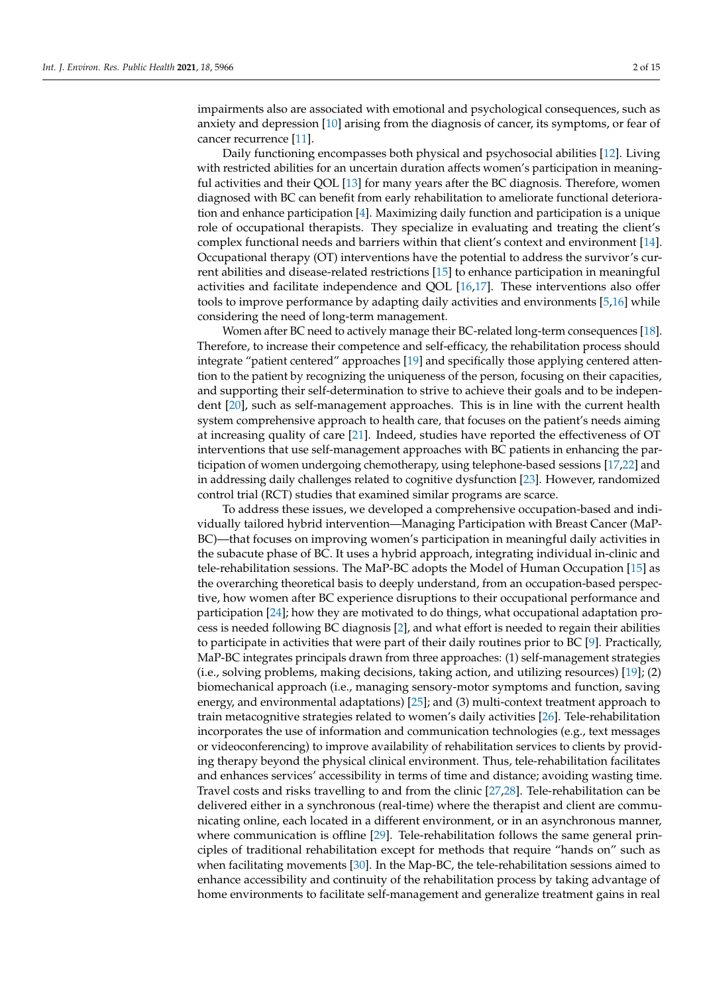impairments also are associated with emotional and psychological consequences, such as anxiety and depression [\[10\]](#page-12-9) arising from the diagnosis of cancer, its symptoms, or fear of cancer recurrence [\[11\]](#page-12-10).

Daily functioning encompasses both physical and psychosocial abilities [\[12\]](#page-12-11). Living with restricted abilities for an uncertain duration affects women's participation in meaningful activities and their QOL [\[13\]](#page-12-12) for many years after the BC diagnosis. Therefore, women diagnosed with BC can benefit from early rehabilitation to ameliorate functional deterioration and enhance participation [\[4\]](#page-12-3). Maximizing daily function and participation is a unique role of occupational therapists. They specialize in evaluating and treating the client's complex functional needs and barriers within that client's context and environment [\[14\]](#page-12-13). Occupational therapy (OT) interventions have the potential to address the survivor's current abilities and disease-related restrictions [\[15\]](#page-12-14) to enhance participation in meaningful activities and facilitate independence and QOL [\[16,](#page-12-15)[17\]](#page-12-16). These interventions also offer tools to improve performance by adapting daily activities and environments [\[5,](#page-12-4)[16\]](#page-12-15) while considering the need of long-term management.

Women after BC need to actively manage their BC-related long-term consequences [\[18\]](#page-12-17). Therefore, to increase their competence and self-efficacy, the rehabilitation process should integrate "patient centered" approaches [\[19\]](#page-12-18) and specifically those applying centered attention to the patient by recognizing the uniqueness of the person, focusing on their capacities, and supporting their self-determination to strive to achieve their goals and to be independent [\[20\]](#page-12-19), such as self-management approaches. This is in line with the current health system comprehensive approach to health care, that focuses on the patient's needs aiming at increasing quality of care [\[21\]](#page-12-20). Indeed, studies have reported the effectiveness of OT interventions that use self-management approaches with BC patients in enhancing the participation of women undergoing chemotherapy, using telephone-based sessions [\[17](#page-12-16)[,22\]](#page-12-21) and in addressing daily challenges related to cognitive dysfunction [\[23\]](#page-12-22). However, randomized control trial (RCT) studies that examined similar programs are scarce.

To address these issues, we developed a comprehensive occupation-based and individually tailored hybrid intervention—Managing Participation with Breast Cancer (MaP-BC)—that focuses on improving women's participation in meaningful daily activities in the subacute phase of BC. It uses a hybrid approach, integrating individual in-clinic and tele-rehabilitation sessions. The MaP-BC adopts the Model of Human Occupation [\[15\]](#page-12-14) as the overarching theoretical basis to deeply understand, from an occupation-based perspective, how women after BC experience disruptions to their occupational performance and participation [\[24\]](#page-13-0); how they are motivated to do things, what occupational adaptation process is needed following BC diagnosis [\[2\]](#page-12-1), and what effort is needed to regain their abilities to participate in activities that were part of their daily routines prior to BC [\[9\]](#page-12-8). Practically, MaP-BC integrates principals drawn from three approaches: (1) self-management strategies (i.e., solving problems, making decisions, taking action, and utilizing resources) [\[19\]](#page-12-18); (2) biomechanical approach (i.e., managing sensory-motor symptoms and function, saving energy, and environmental adaptations) [\[25\]](#page-13-1); and (3) multi-context treatment approach to train metacognitive strategies related to women's daily activities [\[26\]](#page-13-2). Tele-rehabilitation incorporates the use of information and communication technologies (e.g., text messages or videoconferencing) to improve availability of rehabilitation services to clients by providing therapy beyond the physical clinical environment. Thus, tele-rehabilitation facilitates and enhances services' accessibility in terms of time and distance; avoiding wasting time. Travel costs and risks travelling to and from the clinic [\[27](#page-13-3)[,28\]](#page-13-4). Tele-rehabilitation can be delivered either in a synchronous (real-time) where the therapist and client are communicating online, each located in a different environment, or in an asynchronous manner, where communication is offline [\[29\]](#page-13-5). Tele-rehabilitation follows the same general principles of traditional rehabilitation except for methods that require "hands on" such as when facilitating movements [\[30\]](#page-13-6). In the Map-BC, the tele-rehabilitation sessions aimed to enhance accessibility and continuity of the rehabilitation process by taking advantage of home environments to facilitate self-management and generalize treatment gains in real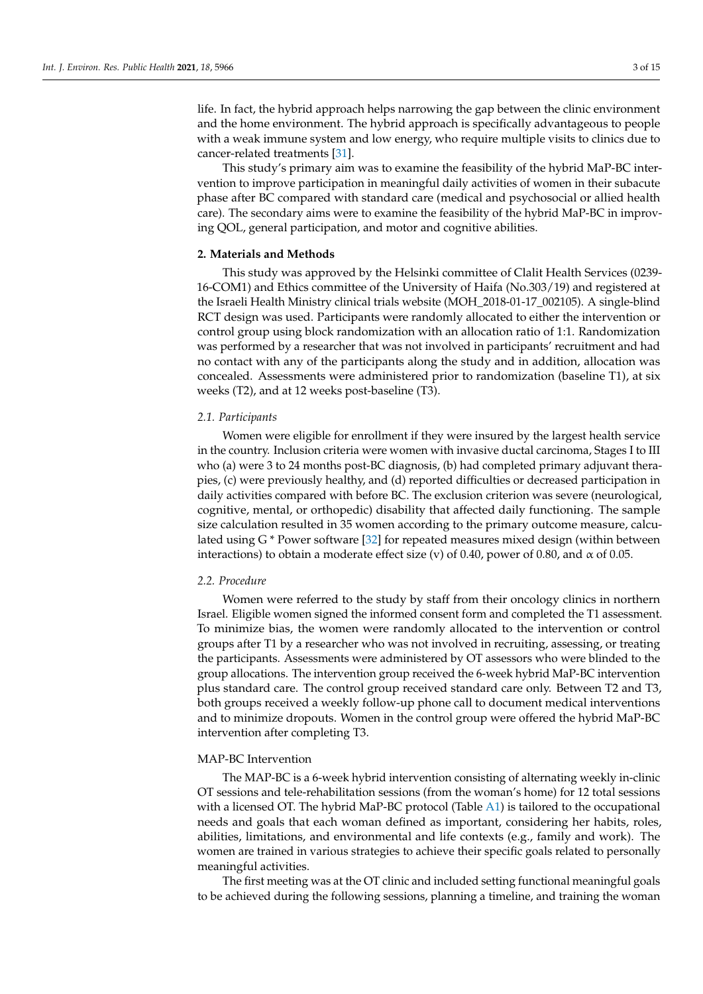life. In fact, the hybrid approach helps narrowing the gap between the clinic environment and the home environment. The hybrid approach is specifically advantageous to people with a weak immune system and low energy, who require multiple visits to clinics due to cancer-related treatments [\[31\]](#page-13-7).

This study's primary aim was to examine the feasibility of the hybrid MaP-BC intervention to improve participation in meaningful daily activities of women in their subacute phase after BC compared with standard care (medical and psychosocial or allied health care). The secondary aims were to examine the feasibility of the hybrid MaP-BC in improving QOL, general participation, and motor and cognitive abilities.

## **2. Materials and Methods**

This study was approved by the Helsinki committee of Clalit Health Services (0239- 16-COM1) and Ethics committee of the University of Haifa (No.303/19) and registered at the Israeli Health Ministry clinical trials website (MOH\_2018-01-17\_002105). A single-blind RCT design was used. Participants were randomly allocated to either the intervention or control group using block randomization with an allocation ratio of 1:1. Randomization was performed by a researcher that was not involved in participants' recruitment and had no contact with any of the participants along the study and in addition, allocation was concealed. Assessments were administered prior to randomization (baseline T1), at six weeks (T2), and at 12 weeks post-baseline (T3).

## *2.1. Participants*

Women were eligible for enrollment if they were insured by the largest health service in the country. Inclusion criteria were women with invasive ductal carcinoma, Stages I to III who (a) were 3 to 24 months post-BC diagnosis, (b) had completed primary adjuvant therapies, (c) were previously healthy, and (d) reported difficulties or decreased participation in daily activities compared with before BC. The exclusion criterion was severe (neurological, cognitive, mental, or orthopedic) disability that affected daily functioning. The sample size calculation resulted in 35 women according to the primary outcome measure, calculated using G \* Power software [\[32\]](#page-13-8) for repeated measures mixed design (within between interactions) to obtain a moderate effect size (v) of 0.40, power of 0.80, and  $\alpha$  of 0.05.

#### *2.2. Procedure*

Women were referred to the study by staff from their oncology clinics in northern Israel. Eligible women signed the informed consent form and completed the T1 assessment. To minimize bias, the women were randomly allocated to the intervention or control groups after T1 by a researcher who was not involved in recruiting, assessing, or treating the participants. Assessments were administered by OT assessors who were blinded to the group allocations. The intervention group received the 6-week hybrid MaP-BC intervention plus standard care. The control group received standard care only. Between T2 and T3, both groups received a weekly follow-up phone call to document medical interventions and to minimize dropouts. Women in the control group were offered the hybrid MaP-BC intervention after completing T3.

## MAP-BC Intervention

The MAP-BC is a 6-week hybrid intervention consisting of alternating weekly in-clinic OT sessions and tele-rehabilitation sessions (from the woman's home) for 12 total sessions with a licensed OT. The hybrid MaP-BC protocol (Table [A1\)](#page-12-23) is tailored to the occupational needs and goals that each woman defined as important, considering her habits, roles, abilities, limitations, and environmental and life contexts (e.g., family and work). The women are trained in various strategies to achieve their specific goals related to personally meaningful activities.

The first meeting was at the OT clinic and included setting functional meaningful goals to be achieved during the following sessions, planning a timeline, and training the woman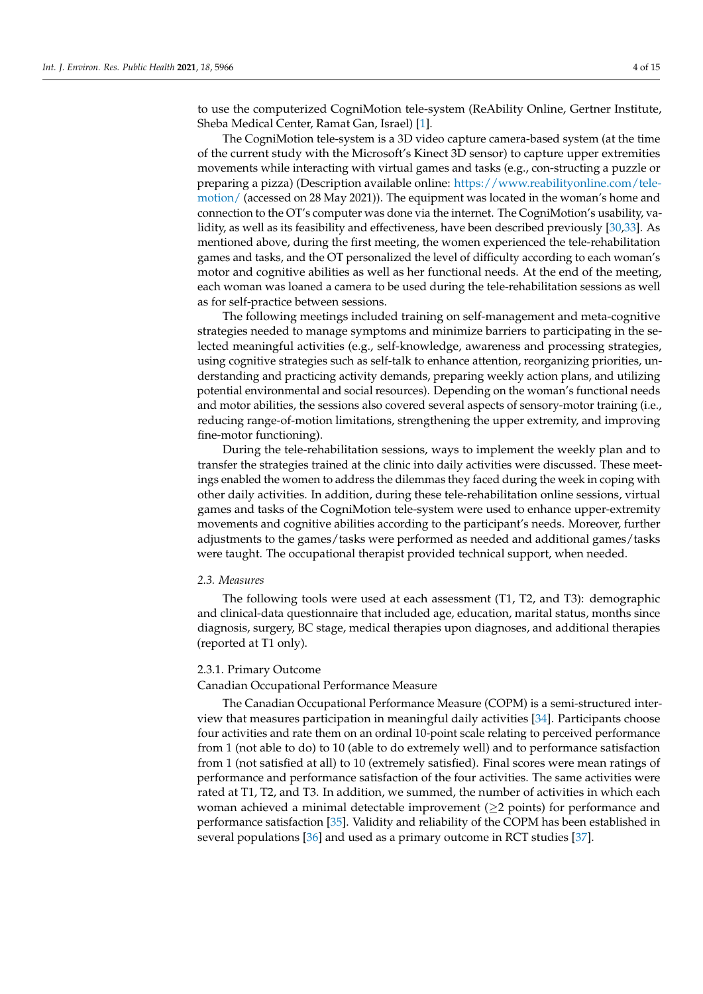to use the computerized CogniMotion tele-system (ReAbility Online, Gertner Institute, Sheba Medical Center, Ramat Gan, Israel) [\[1\]](#page-12-0).

The CogniMotion tele-system is a 3D video capture camera-based system (at the time of the current study with the Microsoft's Kinect 3D sensor) to capture upper extremities movements while interacting with virtual games and tasks (e.g., con-structing a puzzle or preparing a pizza) (Description available online: [https://www.reabilityonline.com/tele](https://www.reabilityonline.com/tele-motion/)[motion/](https://www.reabilityonline.com/tele-motion/) (accessed on 28 May 2021)). The equipment was located in the woman's home and connection to the OT's computer was done via the internet. The CogniMotion's usability, validity, as well as its feasibility and effectiveness, have been described previously [\[30](#page-13-6)[,33\]](#page-13-9). As mentioned above, during the first meeting, the women experienced the tele-rehabilitation games and tasks, and the OT personalized the level of difficulty according to each woman's motor and cognitive abilities as well as her functional needs. At the end of the meeting, each woman was loaned a camera to be used during the tele-rehabilitation sessions as well as for self-practice between sessions.

The following meetings included training on self-management and meta-cognitive strategies needed to manage symptoms and minimize barriers to participating in the selected meaningful activities (e.g., self-knowledge, awareness and processing strategies, using cognitive strategies such as self-talk to enhance attention, reorganizing priorities, understanding and practicing activity demands, preparing weekly action plans, and utilizing potential environmental and social resources). Depending on the woman's functional needs and motor abilities, the sessions also covered several aspects of sensory-motor training (i.e., reducing range-of-motion limitations, strengthening the upper extremity, and improving fine-motor functioning).

During the tele-rehabilitation sessions, ways to implement the weekly plan and to transfer the strategies trained at the clinic into daily activities were discussed. These meetings enabled the women to address the dilemmas they faced during the week in coping with other daily activities. In addition, during these tele-rehabilitation online sessions, virtual games and tasks of the CogniMotion tele-system were used to enhance upper-extremity movements and cognitive abilities according to the participant's needs. Moreover, further adjustments to the games/tasks were performed as needed and additional games/tasks were taught. The occupational therapist provided technical support, when needed.

#### *2.3. Measures*

The following tools were used at each assessment (T1, T2, and T3): demographic and clinical-data questionnaire that included age, education, marital status, months since diagnosis, surgery, BC stage, medical therapies upon diagnoses, and additional therapies (reported at T1 only).

## 2.3.1. Primary Outcome

## Canadian Occupational Performance Measure

The Canadian Occupational Performance Measure (COPM) is a semi-structured interview that measures participation in meaningful daily activities [\[34\]](#page-13-10). Participants choose four activities and rate them on an ordinal 10-point scale relating to perceived performance from 1 (not able to do) to 10 (able to do extremely well) and to performance satisfaction from 1 (not satisfied at all) to 10 (extremely satisfied). Final scores were mean ratings of performance and performance satisfaction of the four activities. The same activities were rated at T1, T2, and T3. In addition, we summed, the number of activities in which each woman achieved a minimal detectable improvement (≥2 points) for performance and performance satisfaction [\[35\]](#page-13-11). Validity and reliability of the COPM has been established in several populations [\[36\]](#page-13-12) and used as a primary outcome in RCT studies [\[37\]](#page-13-13).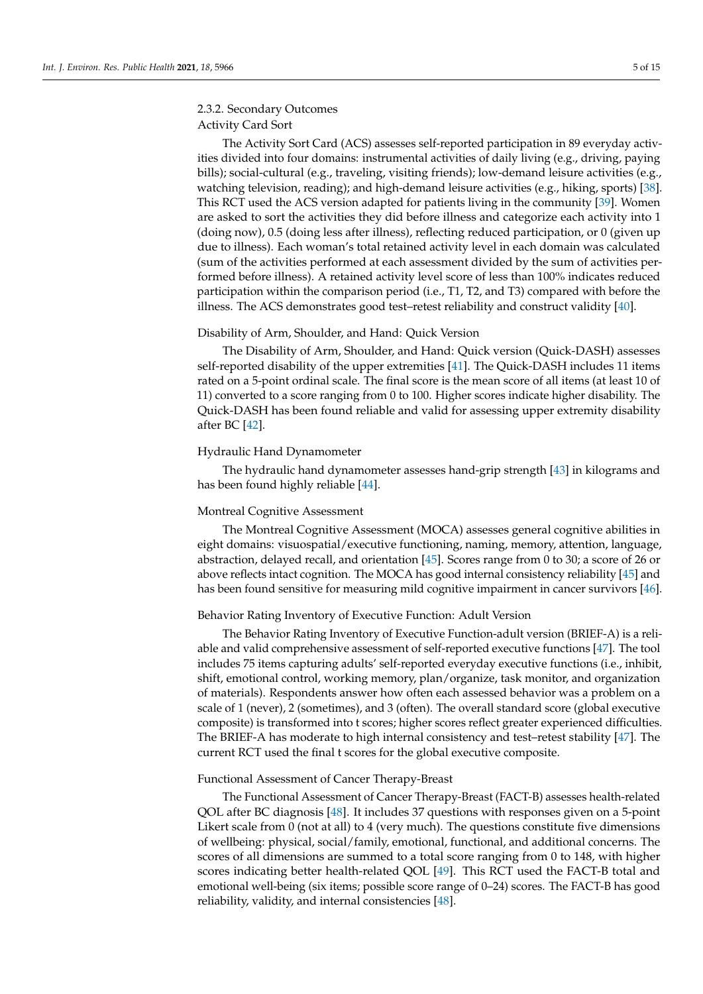# 2.3.2. Secondary Outcomes Activity Card Sort

The Activity Sort Card (ACS) assesses self-reported participation in 89 everyday activities divided into four domains: instrumental activities of daily living (e.g., driving, paying bills); social-cultural (e.g., traveling, visiting friends); low-demand leisure activities (e.g., watching television, reading); and high-demand leisure activities (e.g., hiking, sports) [\[38\]](#page-13-14). This RCT used the ACS version adapted for patients living in the community [\[39\]](#page-13-15). Women are asked to sort the activities they did before illness and categorize each activity into 1 (doing now), 0.5 (doing less after illness), reflecting reduced participation, or 0 (given up due to illness). Each woman's total retained activity level in each domain was calculated (sum of the activities performed at each assessment divided by the sum of activities performed before illness). A retained activity level score of less than 100% indicates reduced participation within the comparison period (i.e., T1, T2, and T3) compared with before the illness. The ACS demonstrates good test–retest reliability and construct validity [\[40\]](#page-13-16).

#### Disability of Arm, Shoulder, and Hand: Quick Version

The Disability of Arm, Shoulder, and Hand: Quick version (Quick-DASH) assesses self-reported disability of the upper extremities [\[41\]](#page-13-17). The Quick-DASH includes 11 items rated on a 5-point ordinal scale. The final score is the mean score of all items (at least 10 of 11) converted to a score ranging from 0 to 100. Higher scores indicate higher disability. The Quick-DASH has been found reliable and valid for assessing upper extremity disability after BC [\[42\]](#page-13-18).

## Hydraulic Hand Dynamometer

The hydraulic hand dynamometer assesses hand-grip strength [\[43\]](#page-13-19) in kilograms and has been found highly reliable [\[44\]](#page-13-20).

#### Montreal Cognitive Assessment

The Montreal Cognitive Assessment (MOCA) assesses general cognitive abilities in eight domains: visuospatial/executive functioning, naming, memory, attention, language, abstraction, delayed recall, and orientation [\[45\]](#page-13-21). Scores range from 0 to 30; a score of 26 or above reflects intact cognition. The MOCA has good internal consistency reliability [\[45\]](#page-13-21) and has been found sensitive for measuring mild cognitive impairment in cancer survivors [\[46\]](#page-13-22).

## Behavior Rating Inventory of Executive Function: Adult Version

The Behavior Rating Inventory of Executive Function-adult version (BRIEF-A) is a reliable and valid comprehensive assessment of self-reported executive functions [\[47\]](#page-13-23). The tool includes 75 items capturing adults' self-reported everyday executive functions (i.e., inhibit, shift, emotional control, working memory, plan/organize, task monitor, and organization of materials). Respondents answer how often each assessed behavior was a problem on a scale of 1 (never), 2 (sometimes), and 3 (often). The overall standard score (global executive composite) is transformed into t scores; higher scores reflect greater experienced difficulties. The BRIEF-A has moderate to high internal consistency and test–retest stability [\[47\]](#page-13-23). The current RCT used the final t scores for the global executive composite.

#### Functional Assessment of Cancer Therapy-Breast

The Functional Assessment of Cancer Therapy-Breast (FACT-B) assesses health-related QOL after BC diagnosis [\[48\]](#page-13-24). It includes 37 questions with responses given on a 5-point Likert scale from 0 (not at all) to 4 (very much). The questions constitute five dimensions of wellbeing: physical, social/family, emotional, functional, and additional concerns. The scores of all dimensions are summed to a total score ranging from 0 to 148, with higher scores indicating better health-related QOL [\[49\]](#page-13-25). This RCT used the FACT-B total and emotional well-being (six items; possible score range of 0–24) scores. The FACT-B has good reliability, validity, and internal consistencies [\[48\]](#page-13-24).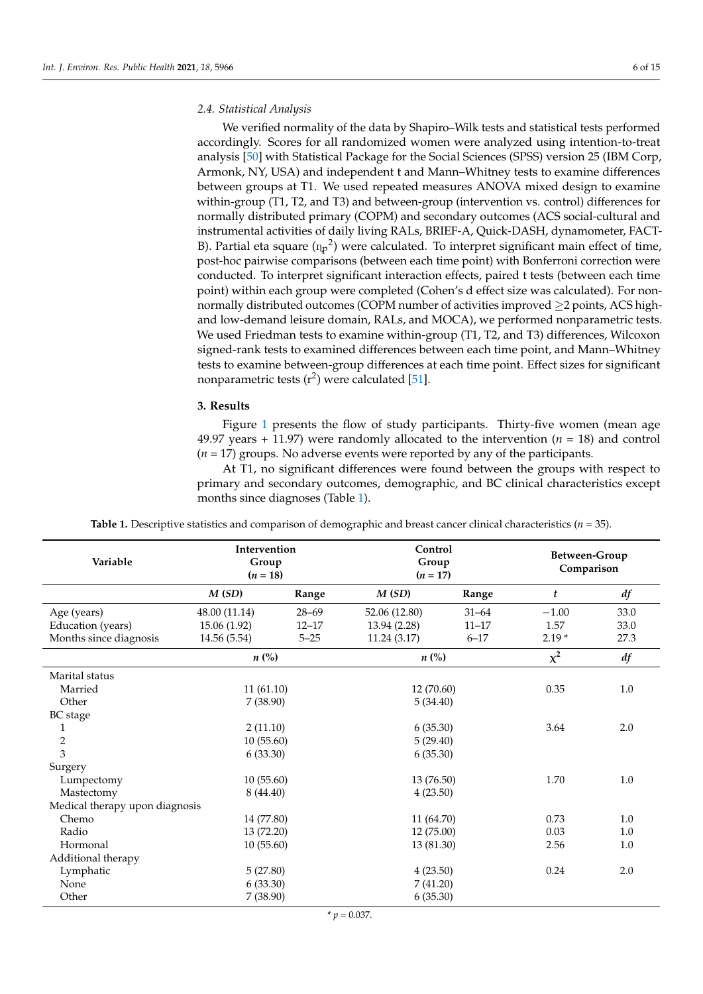## *2.4. Statistical Analysis*

We verified normality of the data by Shapiro–Wilk tests and statistical tests performed accordingly. Scores for all randomized women were analyzed using intention-to-treat analysis [\[50\]](#page-13-26) with Statistical Package for the Social Sciences (SPSS) version 25 (IBM Corp, Armonk, NY, USA) and independent t and Mann–Whitney tests to examine differences between groups at T1. We used repeated measures ANOVA mixed design to examine within-group (T1, T2, and T3) and between-group (intervention vs. control) differences for normally distributed primary (COPM) and secondary outcomes (ACS social-cultural and instrumental activities of daily living RALs, BRIEF-A, Quick-DASH, dynamometer, FACT-B). Partial eta square  $(n_p^2)$  were calculated. To interpret significant main effect of time, post-hoc pairwise comparisons (between each time point) with Bonferroni correction were conducted. To interpret significant interaction effects, paired t tests (between each time point) within each group were completed (Cohen's d effect size was calculated). For nonnormally distributed outcomes (COPM number of activities improved  $\geq$ 2 points, ACS highand low-demand leisure domain, RALs, and MOCA), we performed nonparametric tests. We used Friedman tests to examine within-group (T1, T2, and T3) differences, Wilcoxon signed-rank tests to examined differences between each time point, and Mann–Whitney tests to examine between-group differences at each time point. Effect sizes for significant nonparametric tests  $(r^2)$  were calculated [\[51\]](#page-13-27).

## **3. Results**

Figure [1](#page-6-0) presents the flow of study participants. Thirty-five women (mean age 49.97 years  $+$  11.97) were randomly allocated to the intervention ( $n = 18$ ) and control (*n* = 17) groups. No adverse events were reported by any of the participants.

At T1, no significant differences were found between the groups with respect to primary and secondary outcomes, demographic, and BC clinical characteristics except months since diagnoses (Table [1\)](#page-5-0).

<span id="page-5-0"></span>

| Variable                       | Intervention<br>Group<br>$(n = 18)$ |          | Control<br>Group<br>$(n = 17)$ |           | Between-Group<br>Comparison |      |  |
|--------------------------------|-------------------------------------|----------|--------------------------------|-----------|-----------------------------|------|--|
|                                | M(SD)                               | Range    | M(SD)                          | Range     | t                           | df   |  |
| Age (years)                    | 48.00 (11.14)<br>$28 - 69$          |          | 52.06 (12.80)                  | $31 - 64$ | $-1.00$                     | 33.0 |  |
| Education (years)              | 15.06 (1.92)<br>$12 - 17$           |          | 13.94 (2.28)                   | $11 - 17$ |                             | 33.0 |  |
| Months since diagnosis         | 14.56 (5.54)                        | $5 - 25$ | 11.24(3.17)                    | $6 - 17$  | $2.19*$                     | 27.3 |  |
|                                | $n\ (\%)$                           |          | $n\left(\%\right)$             |           | $\chi^2$                    | df   |  |
| Marital status                 |                                     |          |                                |           |                             |      |  |
| Married                        | 11(61.10)                           |          | 12 (70.60)                     |           | 0.35                        | 1.0  |  |
| Other                          | 7(38.90)                            |          | 5(34.40)                       |           |                             |      |  |
| BC stage                       |                                     |          |                                |           |                             |      |  |
| 1                              | 2(11.10)                            |          | 6(35.30)                       |           | 3.64                        | 2.0  |  |
| $\overline{2}$                 | 10(55.60)                           |          | 5(29.40)                       |           |                             |      |  |
| 3                              | 6(33.30)                            |          | 6(35.30)                       |           |                             |      |  |
| Surgery                        |                                     |          |                                |           |                             |      |  |
| Lumpectomy                     | 10(55.60)                           |          | 13 (76.50)                     |           | 1.70                        | 1.0  |  |
| Mastectomy                     | 8(44.40)                            |          | 4(23.50)                       |           |                             |      |  |
| Medical therapy upon diagnosis |                                     |          |                                |           |                             |      |  |
| Chemo                          | 14 (77.80)                          |          | 11 (64.70)                     |           | 0.73                        | 1.0  |  |
| Radio                          | 13 (72.20)                          |          | 12 (75.00)                     |           | 0.03                        | 1.0  |  |
| Hormonal                       | 10(55.60)                           |          | 13 (81.30)                     |           | 2.56                        | 1.0  |  |
| Additional therapy             |                                     |          |                                |           |                             |      |  |
| Lymphatic                      | 5(27.80)                            |          | 4(23.50)                       |           | 0.24                        | 2.0  |  |
| None                           | 6(33.30)                            |          | 7(41.20)                       |           |                             |      |  |
| Other                          | 7(38.90)                            |          | 6(35.30)                       |           |                             |      |  |

**Table 1.** Descriptive statistics and comparison of demographic and breast cancer clinical characteristics (*n* = 35).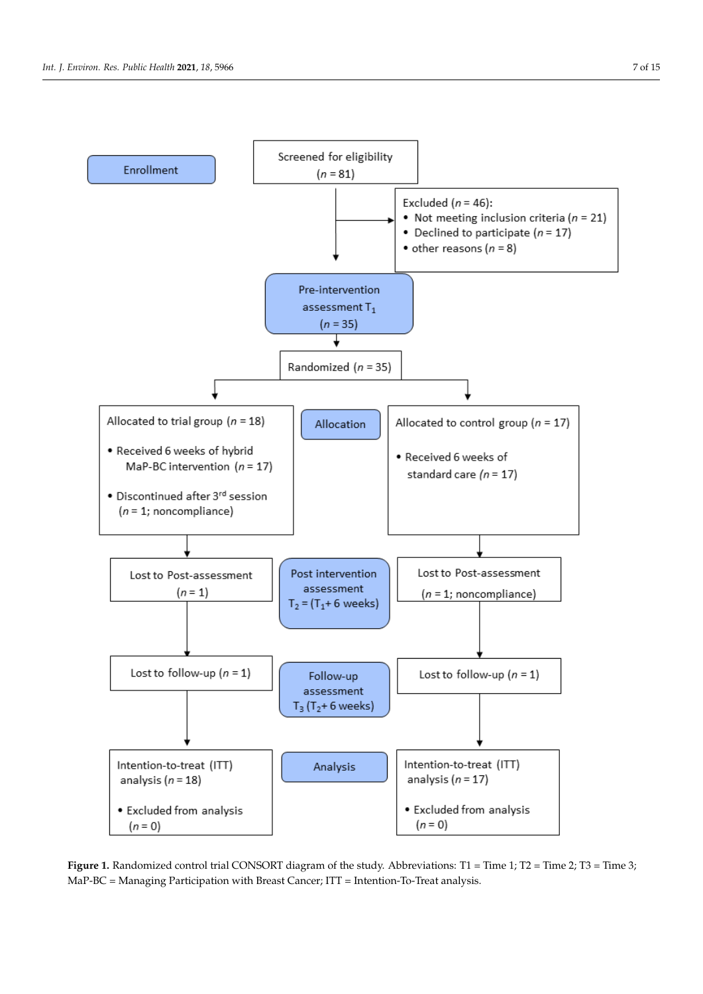<span id="page-6-0"></span>

Figure 1. Randomized control trial CONSORT diagram of the study. Abbreviations: T1 = Time 1; T2 = Time 2; T3 = Time 3; MaP-BC = Managing Participation with Breast Cancer; ITT = Intention-To-Treat analysis.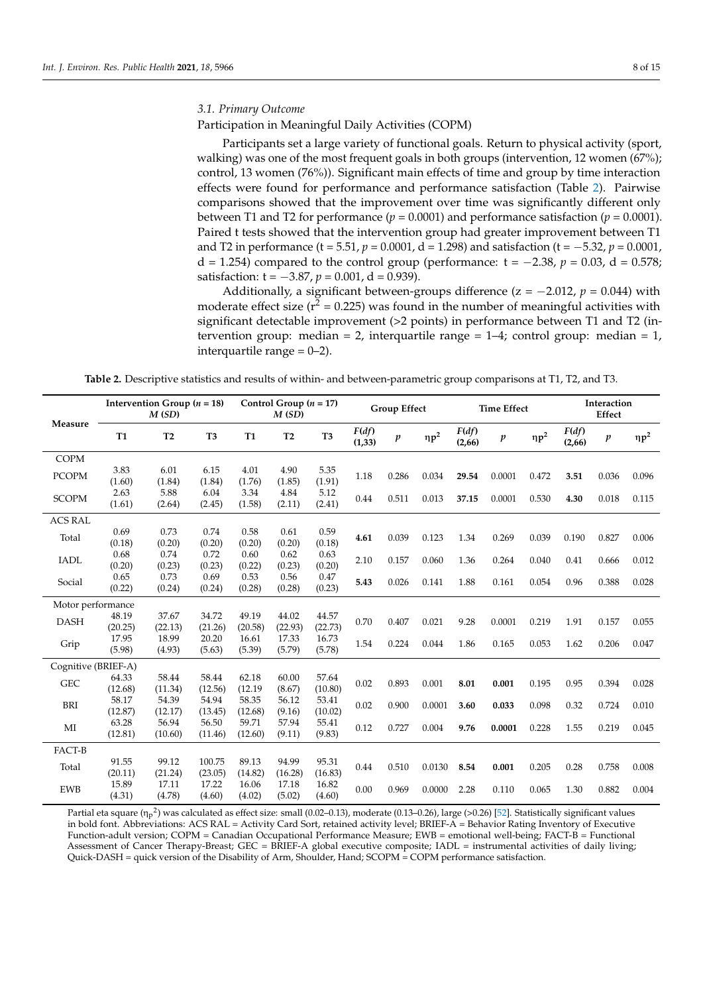### *3.1. Primary Outcome*

Participation in Meaningful Daily Activities (COPM)

Participants set a large variety of functional goals. Return to physical activity (sport, walking) was one of the most frequent goals in both groups (intervention, 12 women (67%); control, 13 women (76%)). Significant main effects of time and group by time interaction effects were found for performance and performance satisfaction (Table [2\)](#page-7-0). Pairwise comparisons showed that the improvement over time was significantly different only between T1 and T2 for performance  $(p = 0.0001)$  and performance satisfaction  $(p = 0.0001)$ . Paired t tests showed that the intervention group had greater improvement between T1 and T2 in performance (t = 5.51, *p* = 0.0001, d = 1.298) and satisfaction (t = −5.32, *p* = 0.0001, d = 1.254) compared to the control group (performance:  $t = -2.38$ ,  $p = 0.03$ , d = 0.578; satisfaction:  $t = -3.87$ ,  $p = 0.001$ ,  $d = 0.939$ ).

Additionally, a significant between-groups difference ( $z = -2.012$ ,  $p = 0.044$ ) with moderate effect size  $(r^2 = 0.225)$  was found in the number of meaningful activities with significant detectable improvement (>2 points) in performance between T1 and T2 (intervention group: median = 2, interquartile range =  $1-4$ ; control group: median = 1, interquartile range  $= 0-2$ ).

**Table 2.** Descriptive statistics and results of within- and between-parametric group comparisons at T1, T2, and T3.

<span id="page-7-0"></span>

| Intervention Group ( $n = 18$ )<br>M(SD) |                  |                  | Control Group $(n = 17)$<br>M(SD) |                  | <b>Group Effect</b> |                  | <b>Time Effect</b> |                  | Interaction<br>Effect |                 |                  |            |                 |                  |            |
|------------------------------------------|------------------|------------------|-----------------------------------|------------------|---------------------|------------------|--------------------|------------------|-----------------------|-----------------|------------------|------------|-----------------|------------------|------------|
| Measure                                  | <b>T1</b>        | T <sub>2</sub>   | T <sub>3</sub>                    | <b>T1</b>        | T <sub>2</sub>      | T <sub>3</sub>   | F(df)<br>(1, 33)   | $\boldsymbol{p}$ | $\eta p^2$            | F(df)<br>(2,66) | $\boldsymbol{p}$ | $\eta p^2$ | F(df)<br>(2,66) | $\boldsymbol{p}$ | $\eta p^2$ |
| <b>COPM</b>                              |                  |                  |                                   |                  |                     |                  |                    |                  |                       |                 |                  |            |                 |                  |            |
| <b>PCOPM</b>                             | 3.83<br>(1.60)   | 6.01<br>(1.84)   | 6.15<br>(1.84)                    | 4.01<br>(1.76)   | 4.90<br>(1.85)      | 5.35<br>(1.91)   | 1.18               | 0.286            | 0.034                 | 29.54           | 0.0001           | 0.472      | 3.51            | 0.036            | 0.096      |
| <b>SCOPM</b>                             | 2.63<br>(1.61)   | 5.88<br>(2.64)   | 6.04<br>(2.45)                    | 3.34<br>(1.58)   | 4.84<br>(2.11)      | 5.12<br>(2.41)   | 0.44               | 0.511            | 0.013                 | 37.15           | 0.0001           | 0.530      | 4.30            | 0.018            | 0.115      |
| <b>ACS RAL</b>                           |                  |                  |                                   |                  |                     |                  |                    |                  |                       |                 |                  |            |                 |                  |            |
| Total                                    | 0.69<br>(0.18)   | 0.73<br>(0.20)   | 0.74<br>(0.20)                    | 0.58<br>(0.20)   | 0.61<br>(0.20)      | 0.59<br>(0.18)   | 4.61               | 0.039            | 0.123                 | 1.34            | 0.269            | 0.039      | 0.190           | 0.827            | 0.006      |
| <b>IADL</b>                              | 0.68<br>(0.20)   | 0.74<br>(0.23)   | 0.72<br>(0.23)                    | 0.60<br>(0.22)   | 0.62<br>(0.23)      | 0.63<br>(0.20)   | 2.10               | 0.157            | 0.060                 | 1.36            | 0.264            | 0.040      | 0.41            | 0.666            | 0.012      |
| Social                                   | 0.65<br>(0.22)   | 0.73<br>(0.24)   | 0.69<br>(0.24)                    | 0.53<br>(0.28)   | 0.56<br>(0.28)      | 0.47<br>(0.23)   | 5.43               | 0.026            | 0.141                 | 1.88            | 0.161            | 0.054      | 0.96            | 0.388            | 0.028      |
| Motor performance                        |                  |                  |                                   |                  |                     |                  |                    |                  |                       |                 |                  |            |                 |                  |            |
| <b>DASH</b>                              | 48.19<br>(20.25) | 37.67<br>(22.13) | 34.72<br>(21.26)                  | 49.19<br>(20.58) | 44.02<br>(22.93)    | 44.57<br>(22.73) | 0.70               | 0.407            | 0.021                 | 9.28            | 0.0001           | 0.219      | 1.91            | 0.157            | 0.055      |
| Grip                                     | 17.95<br>(5.98)  | 18.99<br>(4.93)  | 20.20<br>(5.63)                   | 16.61<br>(5.39)  | 17.33<br>(5.79)     | 16.73<br>(5.78)  | 1.54               | 0.224            | 0.044                 | 1.86            | 0.165            | 0.053      | 1.62            | 0.206            | 0.047      |
| Cognitive (BRIEF-A)                      |                  |                  |                                   |                  |                     |                  |                    |                  |                       |                 |                  |            |                 |                  |            |
| ${\rm GEC}$                              | 64.33<br>(12.68) | 58.44<br>(11.34) | 58.44<br>(12.56)                  | 62.18<br>(12.19) | 60.00<br>(8.67)     | 57.64<br>(10.80) | 0.02               | 0.893            | 0.001                 | 8.01            | 0.001            | 0.195      | 0.95            | 0.394            | 0.028      |
| BRI                                      | 58.17<br>(12.87) | 54.39<br>(12.17) | 54.94<br>(13.45)                  | 58.35<br>(12.68) | 56.12<br>(9.16)     | 53.41<br>(10.02) | 0.02               | 0.900            | 0.0001                | 3.60            | 0.033            | 0.098      | 0.32            | 0.724            | 0.010      |
| MI                                       | 63.28<br>(12.81) | 56.94<br>(10.60) | 56.50<br>(11.46)                  | 59.71<br>(12.60) | 57.94<br>(9.11)     | 55.41<br>(9.83)  | 0.12               | 0.727            | 0.004                 | 9.76            | 0.0001           | 0.228      | 1.55            | 0.219            | 0.045      |
| FACT-B                                   |                  |                  |                                   |                  |                     |                  |                    |                  |                       |                 |                  |            |                 |                  |            |
| Total                                    | 91.55<br>(20.11) | 99.12<br>(21.24) | 100.75<br>(23.05)                 | 89.13<br>(14.82) | 94.99<br>(16.28)    | 95.31<br>(16.83) | 0.44               | 0.510            | 0.0130                | 8.54            | 0.001            | 0.205      | 0.28            | 0.758            | 0.008      |
| <b>EWB</b>                               | 15.89<br>(4.31)  | 17.11<br>(4.78)  | 17.22<br>(4.60)                   | 16.06<br>(4.02)  | 17.18<br>(5.02)     | 16.82<br>(4.60)  | 0.00               | 0.969            | 0.0000                | 2.28            | 0.110            | 0.065      | 1.30            | 0.882            | 0.004      |

Partial eta square ( $\eta_{\rm p}$ <sup>2</sup>) was calculated as effect size: small (0.02–0.13), moderate (0.13–0.26), large (>0.26) [\[52\]](#page-13-28). Statistically significant values in bold font. Abbreviations: ACS RAL = Activity Card Sort, retained activity level; BRIEF-A = Behavior Rating Inventory of Executive Function-adult version; COPM = Canadian Occupational Performance Measure; EWB = emotional well-being; FACT-B = Functional Assessment of Cancer Therapy-Breast; GEC = BRIEF-A global executive composite; IADL = instrumental activities of daily living; Quick-DASH = quick version of the Disability of Arm, Shoulder, Hand; SCOPM = COPM performance satisfaction.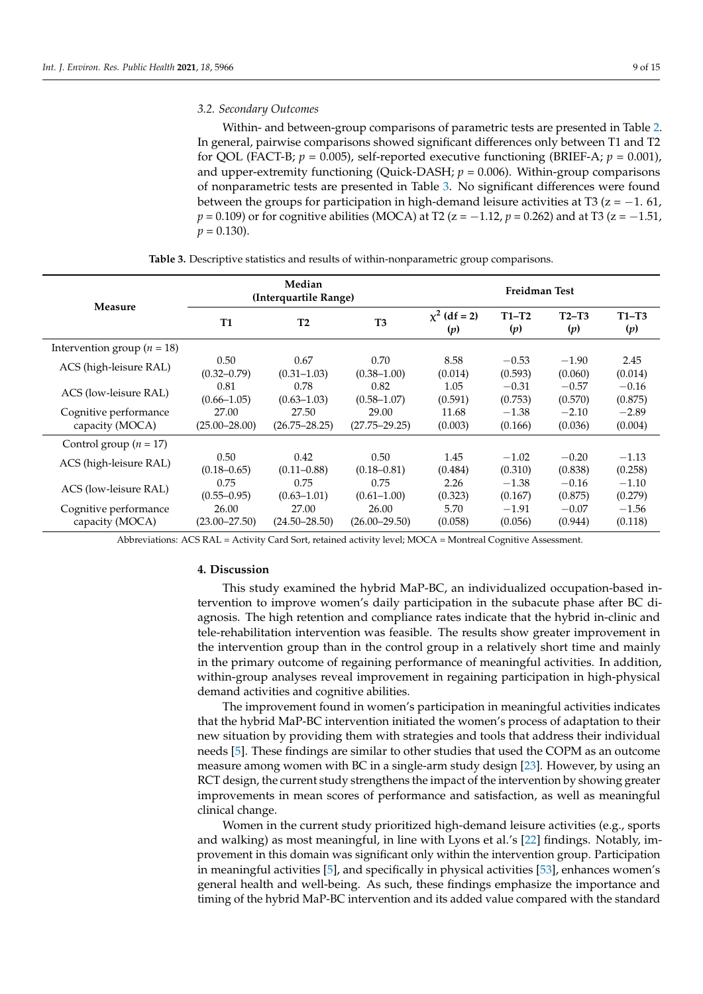Within- and between-group comparisons of parametric tests are presented in Table [2.](#page-7-0) In general, pairwise comparisons showed significant differences only between T1 and T2 for QOL (FACT-B;  $p = 0.005$ ), self-reported executive functioning (BRIEF-A;  $p = 0.001$ ), and upper-extremity functioning (Quick-DASH;  $p = 0.006$ ). Within-group comparisons of nonparametric tests are presented in Table [3.](#page-8-0) No significant differences were found between the groups for participation in high-demand leisure activities at T3 ( $z = -1.61$ , *p* = 0.109) or for cognitive abilities (MOCA) at T2 (z = −1.12, *p* = 0.262) and at T3 (z = −1.51,  $p = 0.130$ .

<span id="page-8-0"></span>

|                                 |                   | Median<br>(Interquartile Range) | <b>Freidman Test</b> |                       |                |                |                |  |
|---------------------------------|-------------------|---------------------------------|----------------------|-----------------------|----------------|----------------|----------------|--|
| Measure                         | <b>T1</b>         | T2                              | T <sub>3</sub>       | $x^2$ (df = 2)<br>(p) | $T1-T2$<br>(p) | $T2-T3$<br>(p) | $T1-T3$<br>(p) |  |
| Intervention group ( $n = 18$ ) |                   |                                 |                      |                       |                |                |                |  |
| ACS (high-leisure RAL)          | 0.50              | 0.67                            | 0.70                 | 8.58                  | $-0.53$        | $-1.90$        | 2.45           |  |
|                                 | $(0.32 - 0.79)$   | $(0.31 - 1.03)$                 | $(0.38 - 1.00)$      | (0.014)               | (0.593)        | (0.060)        | (0.014)        |  |
| ACS (low-leisure RAL)           | 0.81              | 0.78                            | 0.82                 | 1.05                  | $-0.31$        | $-0.57$        | $-0.16$        |  |
|                                 | $(0.66 - 1.05)$   | $(0.63 - 1.03)$                 | $(0.58 - 1.07)$      | (0.591)               | (0.753)        | (0.570)        | (0.875)        |  |
| Cognitive performance           | 27.00             | 27.50                           | 29.00                | 11.68                 | $-1.38$        | $-2.10$        | $-2.89$        |  |
| capacity (MOCA)                 | $(25.00 - 28.00)$ | $(26.75 - 28.25)$               | $(27.75 - 29.25)$    | (0.003)               | (0.166)        | (0.036)        | (0.004)        |  |
| Control group ( $n = 17$ )      |                   |                                 |                      |                       |                |                |                |  |
| ACS (high-leisure RAL)          | 0.50              | 0.42                            | 0.50                 | 1.45                  | $-1.02$        | $-0.20$        | $-1.13$        |  |
|                                 | $(0.18 - 0.65)$   | $(0.11 - 0.88)$                 | $(0.18 - 0.81)$      | (0.484)               | (0.310)        | (0.838)        | (0.258)        |  |
| ACS (low-leisure RAL)           | 0.75              | 0.75                            | 0.75                 | 2.26                  | $-1.38$        | $-0.16$        | $-1.10$        |  |
|                                 | $(0.55 - 0.95)$   | $(0.63 - 1.01)$                 | $(0.61 - 1.00)$      | (0.323)               | (0.167)        | (0.875)        | (0.279)        |  |
| Cognitive performance           | 26.00             | 27.00                           | 26.00                | 5.70                  | $-1.91$        | $-0.07$        | $-1.56$        |  |
| capacity (MOCA)                 | $(23.00 - 27.50)$ | $(24.50 - 28.50)$               | $(26.00 - 29.50)$    | (0.058)               | (0.056)        | (0.944)        | (0.118)        |  |

**Table 3.** Descriptive statistics and results of within-nonparametric group comparisons.

Abbreviations: ACS RAL = Activity Card Sort, retained activity level; MOCA = Montreal Cognitive Assessment.

## **4. Discussion**

This study examined the hybrid MaP-BC, an individualized occupation-based intervention to improve women's daily participation in the subacute phase after BC diagnosis. The high retention and compliance rates indicate that the hybrid in-clinic and tele-rehabilitation intervention was feasible. The results show greater improvement in the intervention group than in the control group in a relatively short time and mainly in the primary outcome of regaining performance of meaningful activities. In addition, within-group analyses reveal improvement in regaining participation in high-physical demand activities and cognitive abilities.

The improvement found in women's participation in meaningful activities indicates that the hybrid MaP-BC intervention initiated the women's process of adaptation to their new situation by providing them with strategies and tools that address their individual needs [\[5\]](#page-12-4). These findings are similar to other studies that used the COPM as an outcome measure among women with BC in a single-arm study design [\[23\]](#page-12-22). However, by using an RCT design, the current study strengthens the impact of the intervention by showing greater improvements in mean scores of performance and satisfaction, as well as meaningful clinical change.

Women in the current study prioritized high-demand leisure activities (e.g., sports and walking) as most meaningful, in line with Lyons et al.'s [\[22\]](#page-12-21) findings. Notably, improvement in this domain was significant only within the intervention group. Participation in meaningful activities [\[5\]](#page-12-4), and specifically in physical activities [\[53\]](#page-14-0), enhances women's general health and well-being. As such, these findings emphasize the importance and timing of the hybrid MaP-BC intervention and its added value compared with the standard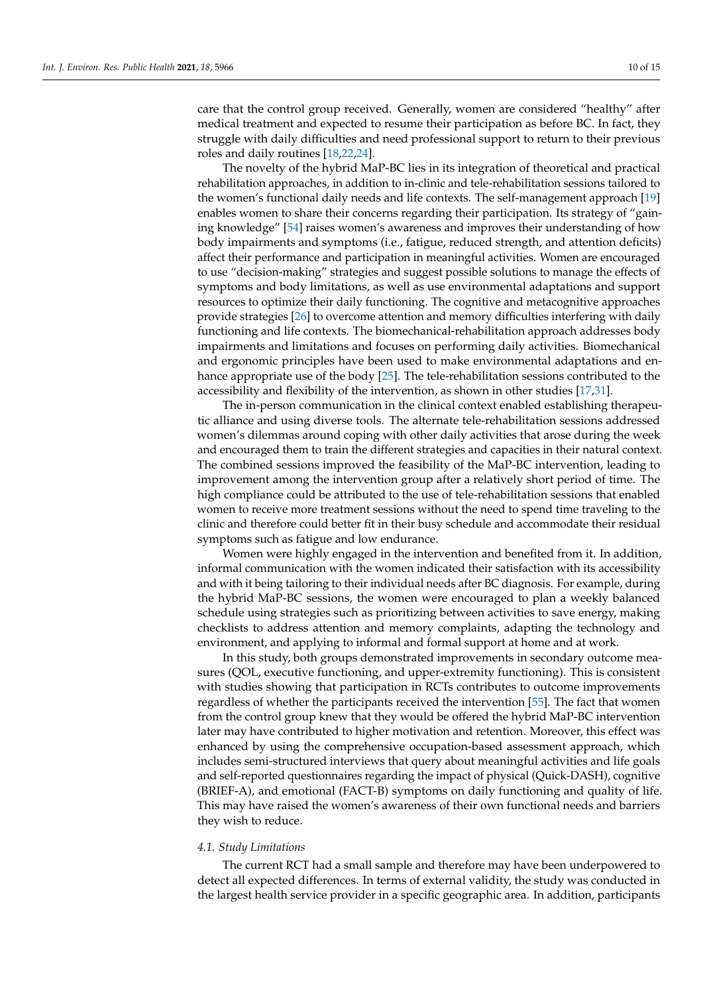care that the control group received. Generally, women are considered "healthy" after medical treatment and expected to resume their participation as before BC. In fact, they struggle with daily difficulties and need professional support to return to their previous roles and daily routines [\[18,](#page-12-17)[22](#page-12-21)[,24\]](#page-13-0).

The novelty of the hybrid MaP-BC lies in its integration of theoretical and practical rehabilitation approaches, in addition to in-clinic and tele-rehabilitation sessions tailored to the women's functional daily needs and life contexts. The self-management approach [\[19\]](#page-12-18) enables women to share their concerns regarding their participation. Its strategy of "gaining knowledge" [\[54\]](#page-14-1) raises women's awareness and improves their understanding of how body impairments and symptoms (i.e., fatigue, reduced strength, and attention deficits) affect their performance and participation in meaningful activities. Women are encouraged to use "decision-making" strategies and suggest possible solutions to manage the effects of symptoms and body limitations, as well as use environmental adaptations and support resources to optimize their daily functioning. The cognitive and metacognitive approaches provide strategies [\[26\]](#page-13-2) to overcome attention and memory difficulties interfering with daily functioning and life contexts. The biomechanical-rehabilitation approach addresses body impairments and limitations and focuses on performing daily activities. Biomechanical and ergonomic principles have been used to make environmental adaptations and enhance appropriate use of the body [\[25\]](#page-13-1). The tele-rehabilitation sessions contributed to the accessibility and flexibility of the intervention, as shown in other studies [\[17,](#page-12-16)[31\]](#page-13-7).

The in-person communication in the clinical context enabled establishing therapeutic alliance and using diverse tools. The alternate tele-rehabilitation sessions addressed women's dilemmas around coping with other daily activities that arose during the week and encouraged them to train the different strategies and capacities in their natural context. The combined sessions improved the feasibility of the MaP-BC intervention, leading to improvement among the intervention group after a relatively short period of time. The high compliance could be attributed to the use of tele-rehabilitation sessions that enabled women to receive more treatment sessions without the need to spend time traveling to the clinic and therefore could better fit in their busy schedule and accommodate their residual symptoms such as fatigue and low endurance.

Women were highly engaged in the intervention and benefited from it. In addition, informal communication with the women indicated their satisfaction with its accessibility and with it being tailoring to their individual needs after BC diagnosis. For example, during the hybrid MaP-BC sessions, the women were encouraged to plan a weekly balanced schedule using strategies such as prioritizing between activities to save energy, making checklists to address attention and memory complaints, adapting the technology and environment, and applying to informal and formal support at home and at work.

In this study, both groups demonstrated improvements in secondary outcome measures (QOL, executive functioning, and upper-extremity functioning). This is consistent with studies showing that participation in RCTs contributes to outcome improvements regardless of whether the participants received the intervention [\[55\]](#page-14-2). The fact that women from the control group knew that they would be offered the hybrid MaP-BC intervention later may have contributed to higher motivation and retention. Moreover, this effect was enhanced by using the comprehensive occupation-based assessment approach, which includes semi-structured interviews that query about meaningful activities and life goals and self-reported questionnaires regarding the impact of physical (Quick-DASH), cognitive (BRIEF-A), and emotional (FACT-B) symptoms on daily functioning and quality of life. This may have raised the women's awareness of their own functional needs and barriers they wish to reduce.

#### *4.1. Study Limitations*

The current RCT had a small sample and therefore may have been underpowered to detect all expected differences. In terms of external validity, the study was conducted in the largest health service provider in a specific geographic area. In addition, participants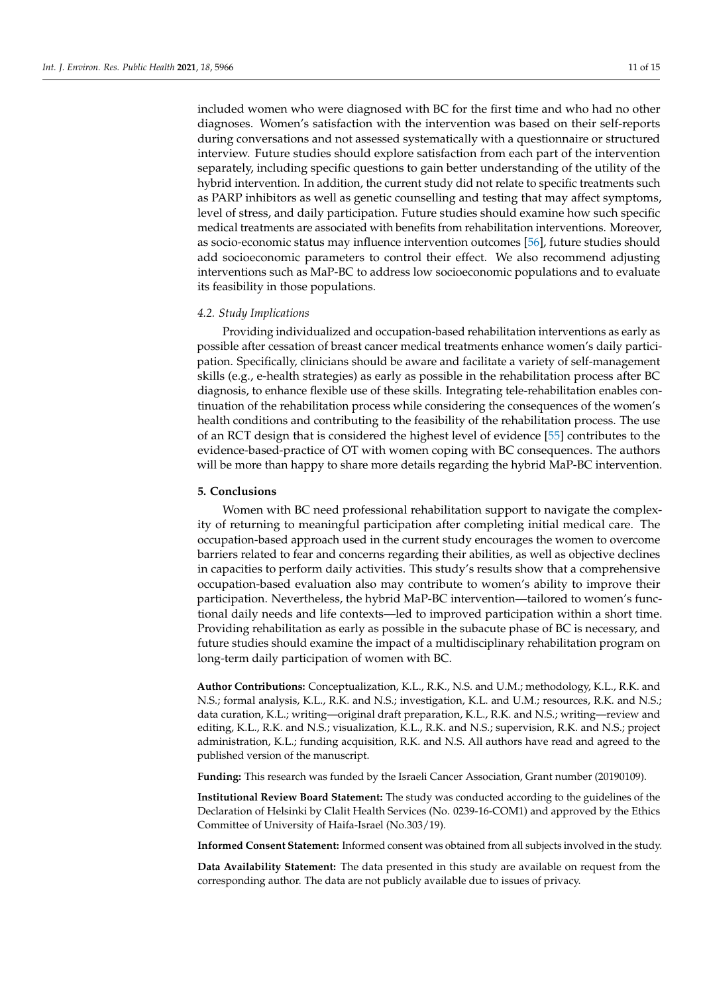included women who were diagnosed with BC for the first time and who had no other diagnoses. Women's satisfaction with the intervention was based on their self-reports during conversations and not assessed systematically with a questionnaire or structured interview. Future studies should explore satisfaction from each part of the intervention separately, including specific questions to gain better understanding of the utility of the hybrid intervention. In addition, the current study did not relate to specific treatments such as PARP inhibitors as well as genetic counselling and testing that may affect symptoms, level of stress, and daily participation. Future studies should examine how such specific medical treatments are associated with benefits from rehabilitation interventions. Moreover, as socio-economic status may influence intervention outcomes [\[56\]](#page-14-3), future studies should add socioeconomic parameters to control their effect. We also recommend adjusting interventions such as MaP-BC to address low socioeconomic populations and to evaluate its feasibility in those populations.

## *4.2. Study Implications*

Providing individualized and occupation-based rehabilitation interventions as early as possible after cessation of breast cancer medical treatments enhance women's daily participation. Specifically, clinicians should be aware and facilitate a variety of self-management skills (e.g., e-health strategies) as early as possible in the rehabilitation process after BC diagnosis, to enhance flexible use of these skills. Integrating tele-rehabilitation enables continuation of the rehabilitation process while considering the consequences of the women's health conditions and contributing to the feasibility of the rehabilitation process. The use of an RCT design that is considered the highest level of evidence [\[55\]](#page-14-2) contributes to the evidence-based-practice of OT with women coping with BC consequences. The authors will be more than happy to share more details regarding the hybrid MaP-BC intervention.

## **5. Conclusions**

Women with BC need professional rehabilitation support to navigate the complexity of returning to meaningful participation after completing initial medical care. The occupation-based approach used in the current study encourages the women to overcome barriers related to fear and concerns regarding their abilities, as well as objective declines in capacities to perform daily activities. This study's results show that a comprehensive occupation-based evaluation also may contribute to women's ability to improve their participation. Nevertheless, the hybrid MaP-BC intervention—tailored to women's functional daily needs and life contexts—led to improved participation within a short time. Providing rehabilitation as early as possible in the subacute phase of BC is necessary, and future studies should examine the impact of a multidisciplinary rehabilitation program on long-term daily participation of women with BC.

**Author Contributions:** Conceptualization, K.L., R.K., N.S. and U.M.; methodology, K.L., R.K. and N.S.; formal analysis, K.L., R.K. and N.S.; investigation, K.L. and U.M.; resources, R.K. and N.S.; data curation, K.L.; writing—original draft preparation, K.L., R.K. and N.S.; writing—review and editing, K.L., R.K. and N.S.; visualization, K.L., R.K. and N.S.; supervision, R.K. and N.S.; project administration, K.L.; funding acquisition, R.K. and N.S. All authors have read and agreed to the published version of the manuscript.

**Funding:** This research was funded by the Israeli Cancer Association, Grant number (20190109).

**Institutional Review Board Statement:** The study was conducted according to the guidelines of the Declaration of Helsinki by Clalit Health Services (No. 0239-16-COM1) and approved by the Ethics Committee of University of Haifa-Israel (No.303/19).

**Informed Consent Statement:** Informed consent was obtained from all subjects involved in the study.

**Data Availability Statement:** The data presented in this study are available on request from the corresponding author. The data are not publicly available due to issues of privacy.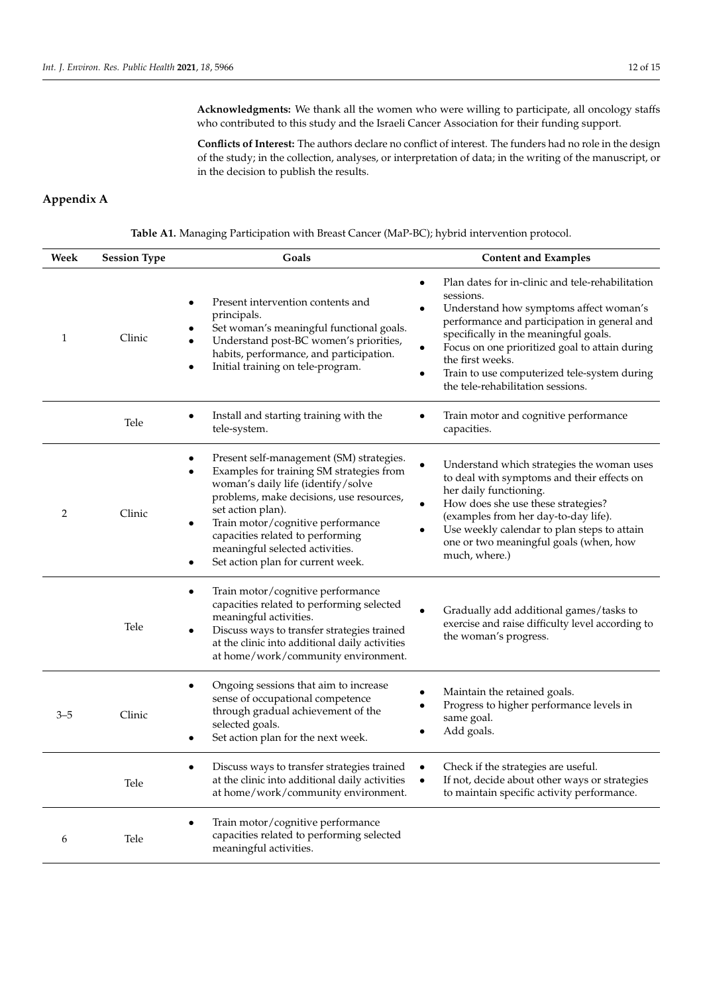**Acknowledgments:** We thank all the women who were willing to participate, all oncology staffs who contributed to this study and the Israeli Cancer Association for their funding support.

**Conflicts of Interest:** The authors declare no conflict of interest. The funders had no role in the design of the study; in the collection, analyses, or interpretation of data; in the writing of the manuscript, or in the decision to publish the results.

# **Appendix A**

**Table A1.** Managing Participation with Breast Cancer (MaP-BC); hybrid intervention protocol.

| Week    | <b>Session Type</b> | Goals                                                                                                                                                                                                                                                                                                                                                     | <b>Content and Examples</b>                                                                                                                                                                                                                                                                                                                                 |
|---------|---------------------|-----------------------------------------------------------------------------------------------------------------------------------------------------------------------------------------------------------------------------------------------------------------------------------------------------------------------------------------------------------|-------------------------------------------------------------------------------------------------------------------------------------------------------------------------------------------------------------------------------------------------------------------------------------------------------------------------------------------------------------|
| 1       | Clinic              | Present intervention contents and<br>principals.<br>Set woman's meaningful functional goals.<br>Understand post-BC women's priorities,<br>habits, performance, and participation.<br>Initial training on tele-program.<br>$\bullet$                                                                                                                       | Plan dates for in-clinic and tele-rehabilitation<br>sessions.<br>Understand how symptoms affect woman's<br>performance and participation in general and<br>specifically in the meaningful goals.<br>Focus on one prioritized goal to attain during<br>the first weeks.<br>Train to use computerized tele-system during<br>the tele-rehabilitation sessions. |
|         | Tele                | Install and starting training with the<br>tele-system.                                                                                                                                                                                                                                                                                                    | Train motor and cognitive performance<br>capacities.                                                                                                                                                                                                                                                                                                        |
| 2       | Clinic              | Present self-management (SM) strategies.<br>Examples for training SM strategies from<br>woman's daily life (identify/solve<br>problems, make decisions, use resources,<br>set action plan).<br>Train motor/cognitive performance<br>$\bullet$<br>capacities related to performing<br>meaningful selected activities.<br>Set action plan for current week. | Understand which strategies the woman uses<br>to deal with symptoms and their effects on<br>her daily functioning.<br>How does she use these strategies?<br>(examples from her day-to-day life).<br>Use weekly calendar to plan steps to attain<br>one or two meaningful goals (when, how<br>much, where.)                                                  |
|         | Tele                | Train motor/cognitive performance<br>$\bullet$<br>capacities related to performing selected<br>meaningful activities.<br>Discuss ways to transfer strategies trained<br>$\bullet$<br>at the clinic into additional daily activities<br>at home/work/community environment.                                                                                | Gradually add additional games/tasks to<br>exercise and raise difficulty level according to<br>the woman's progress.                                                                                                                                                                                                                                        |
| $3 - 5$ | Clinic              | Ongoing sessions that aim to increase<br>sense of occupational competence<br>through gradual achievement of the<br>selected goals.<br>Set action plan for the next week.                                                                                                                                                                                  | Maintain the retained goals.<br>Progress to higher performance levels in<br>same goal.<br>Add goals.                                                                                                                                                                                                                                                        |
|         | Tele                | Discuss ways to transfer strategies trained<br>at the clinic into additional daily activities<br>at home/work/community environment.                                                                                                                                                                                                                      | Check if the strategies are useful.<br>If not, decide about other ways or strategies<br>to maintain specific activity performance.                                                                                                                                                                                                                          |
| 6       | Tele                | Train motor/cognitive performance<br>$\bullet$<br>capacities related to performing selected<br>meaningful activities.                                                                                                                                                                                                                                     |                                                                                                                                                                                                                                                                                                                                                             |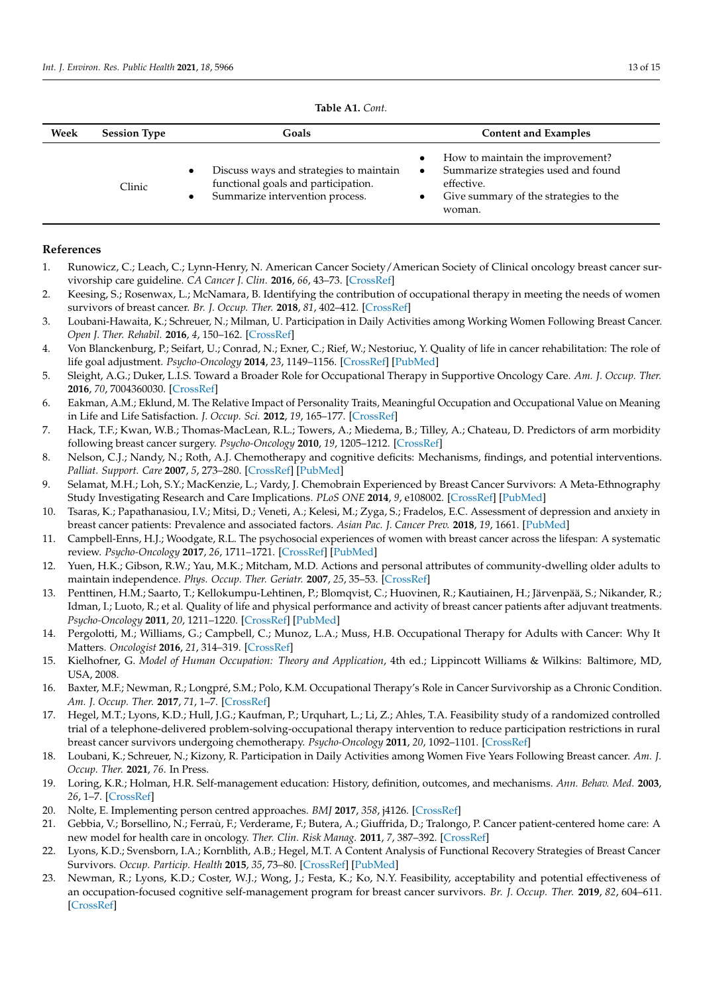| <b>Table A1.</b> Cont. |
|------------------------|
|------------------------|

<span id="page-12-23"></span>

| Week | <b>Session Type</b> | Goals                                                                                                             | <b>Content and Examples</b>                                                                                                                                                     |
|------|---------------------|-------------------------------------------------------------------------------------------------------------------|---------------------------------------------------------------------------------------------------------------------------------------------------------------------------------|
|      | Clinic              | Discuss ways and strategies to maintain<br>functional goals and participation.<br>Summarize intervention process. | How to maintain the improvement?<br>$\bullet$<br>Summarize strategies used and found<br>$\bullet$<br>effective.<br>Give summary of the strategies to the<br>$\bullet$<br>woman. |

## **References**

- <span id="page-12-0"></span>1. Runowicz, C.; Leach, C.; Lynn-Henry, N. American Cancer Society/American Society of Clinical oncology breast cancer survivorship care guideline. *CA Cancer J. Clin.* **2016**, *66*, 43–73. [\[CrossRef\]](http://doi.org/10.3322/caac.21319)
- <span id="page-12-1"></span>2. Keesing, S.; Rosenwax, L.; McNamara, B. Identifying the contribution of occupational therapy in meeting the needs of women survivors of breast cancer. *Br. J. Occup. Ther.* **2018**, *81*, 402–412. [\[CrossRef\]](http://doi.org/10.1177/0308022618762080)
- <span id="page-12-2"></span>3. Loubani-Hawaita, K.; Schreuer, N.; Milman, U. Participation in Daily Activities among Working Women Following Breast Cancer. *Open J. Ther. Rehabil.* **2016**, *4*, 150–162. [\[CrossRef\]](http://doi.org/10.4236/ojtr.2016.43014)
- <span id="page-12-3"></span>4. Von Blanckenburg, P.; Seifart, U.; Conrad, N.; Exner, C.; Rief, W.; Nestoriuc, Y. Quality of life in cancer rehabilitation: The role of life goal adjustment. *Psycho-Oncology* **2014**, *23*, 1149–1156. [\[CrossRef\]](http://doi.org/10.1002/pon.3538) [\[PubMed\]](http://www.ncbi.nlm.nih.gov/pubmed/24729457)
- <span id="page-12-4"></span>5. Sleight, A.G.; Duker, L.I.S. Toward a Broader Role for Occupational Therapy in Supportive Oncology Care. *Am. J. Occup. Ther.* **2016**, *70*, 7004360030. [\[CrossRef\]](http://doi.org/10.5014/ajot.2016.018101)
- <span id="page-12-5"></span>6. Eakman, A.M.; Eklund, M. The Relative Impact of Personality Traits, Meaningful Occupation and Occupational Value on Meaning in Life and Life Satisfaction. *J. Occup. Sci.* **2012**, *19*, 165–177. [\[CrossRef\]](http://doi.org/10.1080/14427591.2012.671762)
- <span id="page-12-6"></span>7. Hack, T.F.; Kwan, W.B.; Thomas-MacLean, R.L.; Towers, A.; Miedema, B.; Tilley, A.; Chateau, D. Predictors of arm morbidity following breast cancer surgery. *Psycho-Oncology* **2010**, *19*, 1205–1212. [\[CrossRef\]](http://doi.org/10.1002/pon.1685)
- <span id="page-12-7"></span>8. Nelson, C.J.; Nandy, N.; Roth, A.J. Chemotherapy and cognitive deficits: Mechanisms, findings, and potential interventions. *Palliat. Support. Care* **2007**, *5*, 273–280. [\[CrossRef\]](http://doi.org/10.1017/S1478951507000442) [\[PubMed\]](http://www.ncbi.nlm.nih.gov/pubmed/17969831)
- <span id="page-12-8"></span>9. Selamat, M.H.; Loh, S.Y.; MacKenzie, L.; Vardy, J. Chemobrain Experienced by Breast Cancer Survivors: A Meta-Ethnography Study Investigating Research and Care Implications. *PLoS ONE* **2014**, *9*, e108002. [\[CrossRef\]](http://doi.org/10.1371/journal.pone.0108002) [\[PubMed\]](http://www.ncbi.nlm.nih.gov/pubmed/25259847)
- <span id="page-12-9"></span>10. Tsaras, K.; Papathanasiou, I.V.; Mitsi, D.; Veneti, A.; Kelesi, M.; Zyga, S.; Fradelos, E.C. Assessment of depression and anxiety in breast cancer patients: Prevalence and associated factors. *Asian Pac. J. Cancer Prev.* **2018**, *19*, 1661. [\[PubMed\]](http://www.ncbi.nlm.nih.gov/pubmed/29938451)
- <span id="page-12-10"></span>11. Campbell-Enns, H.J.; Woodgate, R.L. The psychosocial experiences of women with breast cancer across the lifespan: A systematic review. *Psycho-Oncology* **2017**, *26*, 1711–1721. [\[CrossRef\]](http://doi.org/10.1002/pon.4281) [\[PubMed\]](http://www.ncbi.nlm.nih.gov/pubmed/27648726)
- <span id="page-12-11"></span>12. Yuen, H.K.; Gibson, R.W.; Yau, M.K.; Mitcham, M.D. Actions and personal attributes of community-dwelling older adults to maintain independence. *Phys. Occup. Ther. Geriatr.* **2007**, *25*, 35–53. [\[CrossRef\]](http://doi.org/10.1080/J148v25n03_03)
- <span id="page-12-12"></span>13. Penttinen, H.M.; Saarto, T.; Kellokumpu-Lehtinen, P.; Blomqvist, C.; Huovinen, R.; Kautiainen, H.; Järvenpää, S.; Nikander, R.; Idman, I.; Luoto, R.; et al. Quality of life and physical performance and activity of breast cancer patients after adjuvant treatments. *Psycho-Oncology* **2011**, *20*, 1211–1220. [\[CrossRef\]](http://doi.org/10.1002/pon.1837) [\[PubMed\]](http://www.ncbi.nlm.nih.gov/pubmed/20878646)
- <span id="page-12-13"></span>14. Pergolotti, M.; Williams, G.; Campbell, C.; Munoz, L.A.; Muss, H.B. Occupational Therapy for Adults with Cancer: Why It Matters. *Oncologist* **2016**, *21*, 314–319. [\[CrossRef\]](http://doi.org/10.1634/theoncologist.2015-0335)
- <span id="page-12-14"></span>15. Kielhofner, G. *Model of Human Occupation: Theory and Application*, 4th ed.; Lippincott Williams & Wilkins: Baltimore, MD, USA, 2008.
- <span id="page-12-15"></span>16. Baxter, M.F.; Newman, R.; Longpré, S.M.; Polo, K.M. Occupational Therapy's Role in Cancer Survivorship as a Chronic Condition. *Am. J. Occup. Ther.* **2017**, *71*, 1–7. [\[CrossRef\]](http://doi.org/10.5014/ajot.2017.713001)
- <span id="page-12-16"></span>17. Hegel, M.T.; Lyons, K.D.; Hull, J.G.; Kaufman, P.; Urquhart, L.; Li, Z.; Ahles, T.A. Feasibility study of a randomized controlled trial of a telephone-delivered problem-solving-occupational therapy intervention to reduce participation restrictions in rural breast cancer survivors undergoing chemotherapy. *Psycho-Oncology* **2011**, *20*, 1092–1101. [\[CrossRef\]](http://doi.org/10.1002/pon.1830)
- <span id="page-12-17"></span>18. Loubani, K.; Schreuer, N.; Kizony, R. Participation in Daily Activities among Women Five Years Following Breast cancer. *Am. J. Occup. Ther.* **2021**, *76*. In Press.
- <span id="page-12-18"></span>19. Loring, K.R.; Holman, H.R. Self-management education: History, definition, outcomes, and mechanisms. *Ann. Behav. Med.* **2003**, *26*, 1–7. [\[CrossRef\]](http://doi.org/10.1207/S15324796ABM2601_01)
- <span id="page-12-19"></span>20. Nolte, E. Implementing person centred approaches. *BMJ* **2017**, *358*, j4126. [\[CrossRef\]](http://doi.org/10.1136/bmj.j4126)
- <span id="page-12-20"></span>21. Gebbia, V.; Borsellino, N.; Ferraù, F.; Verderame, F.; Butera, A.; Giuffrida, D.; Tralongo, P. Cancer patient-centered home care: A new model for health care in oncology. *Ther. Clin. Risk Manag.* **2011**, *7*, 387–392. [\[CrossRef\]](http://doi.org/10.2147/TCRM.S22119)
- <span id="page-12-21"></span>22. Lyons, K.D.; Svensborn, I.A.; Kornblith, A.B.; Hegel, M.T. A Content Analysis of Functional Recovery Strategies of Breast Cancer Survivors. *Occup. Particip. Health* **2015**, *35*, 73–80. [\[CrossRef\]](http://doi.org/10.1177/1539449214567306) [\[PubMed\]](http://www.ncbi.nlm.nih.gov/pubmed/26460469)
- <span id="page-12-22"></span>23. Newman, R.; Lyons, K.D.; Coster, W.J.; Wong, J.; Festa, K.; Ko, N.Y. Feasibility, acceptability and potential effectiveness of an occupation-focused cognitive self-management program for breast cancer survivors. *Br. J. Occup. Ther.* **2019**, *82*, 604–611. [\[CrossRef\]](http://doi.org/10.1177/0308022619861893)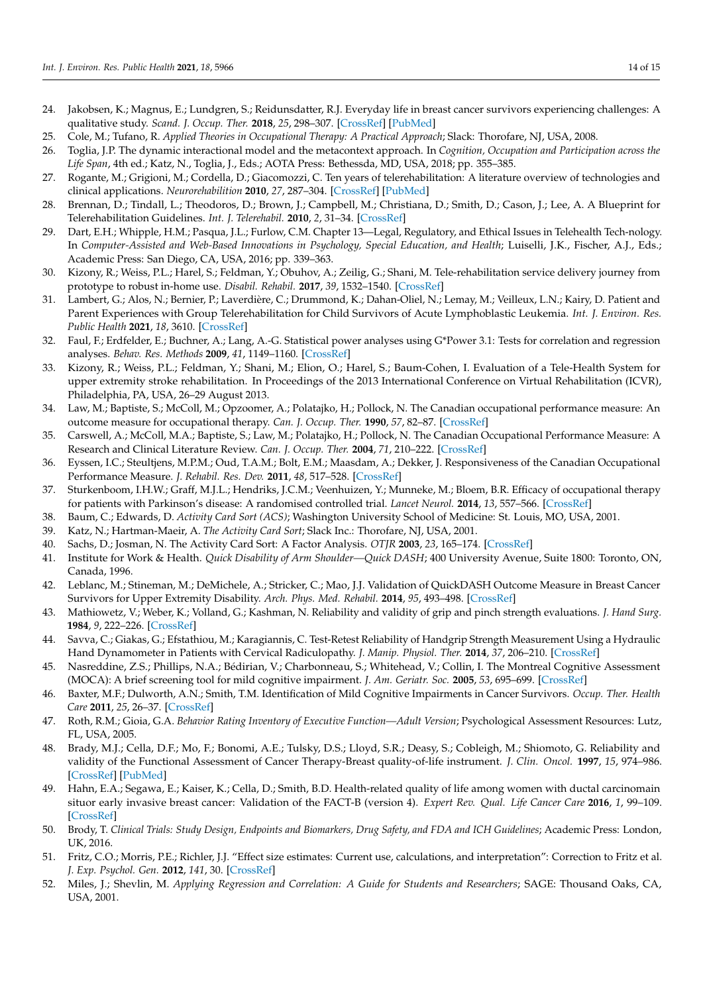- <span id="page-13-0"></span>24. Jakobsen, K.; Magnus, E.; Lundgren, S.; Reidunsdatter, R.J. Everyday life in breast cancer survivors experiencing challenges: A qualitative study. *Scand. J. Occup. Ther.* **2018**, *25*, 298–307. [\[CrossRef\]](http://doi.org/10.1080/11038128.2017.1335777) [\[PubMed\]](http://www.ncbi.nlm.nih.gov/pubmed/28562163)
- <span id="page-13-1"></span>25. Cole, M.; Tufano, R. *Applied Theories in Occupational Therapy: A Practical Approach*; Slack: Thorofare, NJ, USA, 2008.
- <span id="page-13-2"></span>26. Toglia, J.P. The dynamic interactional model and the metacontext approach. In *Cognition, Occupation and Participation across the Life Span*, 4th ed.; Katz, N., Toglia, J., Eds.; AOTA Press: Bethessda, MD, USA, 2018; pp. 355–385.
- <span id="page-13-3"></span>27. Rogante, M.; Grigioni, M.; Cordella, D.; Giacomozzi, C. Ten years of telerehabilitation: A literature overview of technologies and clinical applications. *Neurorehabilition* **2010**, *27*, 287–304. [\[CrossRef\]](http://doi.org/10.3233/NRE-2010-0612) [\[PubMed\]](http://www.ncbi.nlm.nih.gov/pubmed/21160118)
- <span id="page-13-4"></span>28. Brennan, D.; Tindall, L.; Theodoros, D.; Brown, J.; Campbell, M.; Christiana, D.; Smith, D.; Cason, J.; Lee, A. A Blueprint for Telerehabilitation Guidelines. *Int. J. Telerehabil.* **2010**, *2*, 31–34. [\[CrossRef\]](http://doi.org/10.5195/ijt.2010.6063)
- <span id="page-13-5"></span>29. Dart, E.H.; Whipple, H.M.; Pasqua, J.L.; Furlow, C.M. Chapter 13—Legal, Regulatory, and Ethical Issues in Telehealth Tech-nology. In Computer-Assisted and Web-Based Innovations in Psychology, Special Education, and Health; Luiselli, J.K., Fischer, A.J., Eds.; Academic Press: San Diego, CA, USA, 2016; pp. 339–363.
- <span id="page-13-6"></span>30. Kizony, R.; Weiss, P.L.; Harel, S.; Feldman, Y.; Obuhov, A.; Zeilig, G.; Shani, M. Tele-rehabilitation service delivery journey from prototype to robust in-home use. *Disabil. Rehabil.* **2017**, *39*, 1532–1540. [\[CrossRef\]](http://doi.org/10.1080/09638288.2016.1250827)
- <span id="page-13-7"></span>31. Lambert, G.; Alos, N.; Bernier, P.; Laverdière, C.; Drummond, K.; Dahan-Oliel, N.; Lemay, M.; Veilleux, L.N.; Kairy, D. Patient and Parent Experiences with Group Telerehabilitation for Child Survivors of Acute Lymphoblastic Leukemia. *Int. J. Environ. Res. Public Health* **2021**, *18*, 3610. [\[CrossRef\]](http://doi.org/10.3390/ijerph18073610)
- <span id="page-13-8"></span>32. Faul, F.; Erdfelder, E.; Buchner, A.; Lang, A.-G. Statistical power analyses using G\*Power 3.1: Tests for correlation and regression analyses. *Behav. Res. Methods* **2009**, *41*, 1149–1160. [\[CrossRef\]](http://doi.org/10.3758/BRM.41.4.1149)
- <span id="page-13-9"></span>33. Kizony, R.; Weiss, P.L.; Feldman, Y.; Shani, M.; Elion, O.; Harel, S.; Baum-Cohen, I. Evaluation of a Tele-Health System for upper extremity stroke rehabilitation. In Proceedings of the 2013 International Conference on Virtual Rehabilitation (ICVR), Philadelphia, PA, USA, 26–29 August 2013.
- <span id="page-13-10"></span>34. Law, M.; Baptiste, S.; McColl, M.; Opzoomer, A.; Polatajko, H.; Pollock, N. The Canadian occupational performance measure: An outcome measure for occupational therapy. *Can. J. Occup. Ther.* **1990**, *57*, 82–87. [\[CrossRef\]](http://doi.org/10.1177/000841749005700207)
- <span id="page-13-11"></span>35. Carswell, A.; McColl, M.A.; Baptiste, S.; Law, M.; Polatajko, H.; Pollock, N. The Canadian Occupational Performance Measure: A Research and Clinical Literature Review. *Can. J. Occup. Ther.* **2004**, *71*, 210–222. [\[CrossRef\]](http://doi.org/10.1177/000841740407100406)
- <span id="page-13-12"></span>36. Eyssen, I.C.; Steultjens, M.P.M.; Oud, T.A.M.; Bolt, E.M.; Maasdam, A.; Dekker, J. Responsiveness of the Canadian Occupational Performance Measure. *J. Rehabil. Res. Dev.* **2011**, *48*, 517–528. [\[CrossRef\]](http://doi.org/10.1682/JRRD.2010.06.0110)
- <span id="page-13-13"></span>37. Sturkenboom, I.H.W.; Graff, M.J.L.; Hendriks, J.C.M.; Veenhuizen, Y.; Munneke, M.; Bloem, B.R. Efficacy of occupational therapy for patients with Parkinson's disease: A randomised controlled trial. *Lancet Neurol.* **2014**, *13*, 557–566. [\[CrossRef\]](http://doi.org/10.1016/S1474-4422(14)70055-9)
- <span id="page-13-14"></span>38. Baum, C.; Edwards, D. *Activity Card Sort (ACS)*; Washington University School of Medicine: St. Louis, MO, USA, 2001.
- <span id="page-13-15"></span>39. Katz, N.; Hartman-Maeir, A. *The Activity Card Sort*; Slack Inc.: Thorofare, NJ, USA, 2001.
- <span id="page-13-16"></span>40. Sachs, D.; Josman, N. The Activity Card Sort: A Factor Analysis. *OTJR* **2003**, *23*, 165–174. [\[CrossRef\]](http://doi.org/10.1177/153944920302300404)
- <span id="page-13-17"></span>41. Institute for Work & Health. *Quick Disability of Arm Shoulder—Quick DASH*; 400 University Avenue, Suite 1800: Toronto, ON, Canada, 1996.
- <span id="page-13-18"></span>42. Leblanc, M.; Stineman, M.; DeMichele, A.; Stricker, C.; Mao, J.J. Validation of QuickDASH Outcome Measure in Breast Cancer Survivors for Upper Extremity Disability. *Arch. Phys. Med. Rehabil.* **2014**, *95*, 493–498. [\[CrossRef\]](http://doi.org/10.1016/j.apmr.2013.09.016)
- <span id="page-13-19"></span>43. Mathiowetz, V.; Weber, K.; Volland, G.; Kashman, N. Reliability and validity of grip and pinch strength evaluations. *J. Hand Surg.* **1984**, *9*, 222–226. [\[CrossRef\]](http://doi.org/10.1016/S0363-5023(84)80146-X)
- <span id="page-13-20"></span>44. Savva, C.; Giakas, G.; Efstathiou, M.; Karagiannis, C. Test-Retest Reliability of Handgrip Strength Measurement Using a Hydraulic Hand Dynamometer in Patients with Cervical Radiculopathy. *J. Manip. Physiol. Ther.* **2014**, *37*, 206–210. [\[CrossRef\]](http://doi.org/10.1016/j.jmpt.2014.02.001)
- <span id="page-13-21"></span>45. Nasreddine, Z.S.; Phillips, N.A.; Bédirian, V.; Charbonneau, S.; Whitehead, V.; Collin, I. The Montreal Cognitive Assessment (MOCA): A brief screening tool for mild cognitive impairment. *J. Am. Geriatr. Soc.* **2005**, *53*, 695–699. [\[CrossRef\]](http://doi.org/10.1111/j.1532-5415.2005.53221.x)
- <span id="page-13-22"></span>46. Baxter, M.F.; Dulworth, A.N.; Smith, T.M. Identification of Mild Cognitive Impairments in Cancer Survivors. *Occup. Ther. Health Care* **2011**, *25*, 26–37. [\[CrossRef\]](http://doi.org/10.3109/07380577.2010.533251)
- <span id="page-13-23"></span>47. Roth, R.M.; Gioia, G.A. *Behavior Rating Inventory of Executive Function—Adult Version*; Psychological Assessment Resources: Lutz, FL, USA, 2005.
- <span id="page-13-24"></span>48. Brady, M.J.; Cella, D.F.; Mo, F.; Bonomi, A.E.; Tulsky, D.S.; Lloyd, S.R.; Deasy, S.; Cobleigh, M.; Shiomoto, G. Reliability and validity of the Functional Assessment of Cancer Therapy-Breast quality-of-life instrument. *J. Clin. Oncol.* **1997**, *15*, 974–986. [\[CrossRef\]](http://doi.org/10.1200/JCO.1997.15.3.974) [\[PubMed\]](http://www.ncbi.nlm.nih.gov/pubmed/9060536)
- <span id="page-13-25"></span>49. Hahn, E.A.; Segawa, E.; Kaiser, K.; Cella, D.; Smith, B.D. Health-related quality of life among women with ductal carcinomain situor early invasive breast cancer: Validation of the FACT-B (version 4). *Expert Rev. Qual. Life Cancer Care* **2016**, *1*, 99–109. [\[CrossRef\]](http://doi.org/10.1080/23809000.2016.1134259)
- <span id="page-13-26"></span>50. Brody, T. *Clinical Trials: Study Design, Endpoints and Biomarkers, Drug Safety, and FDA and ICH Guidelines*; Academic Press: London, UK, 2016.
- <span id="page-13-27"></span>51. Fritz, C.O.; Morris, P.E.; Richler, J.J. "Effect size estimates: Current use, calculations, and interpretation": Correction to Fritz et al. *J. Exp. Psychol. Gen.* **2012**, *141*, 30. [\[CrossRef\]](http://doi.org/10.1037/a0026092)
- <span id="page-13-28"></span>52. Miles, J.; Shevlin, M. *Applying Regression and Correlation: A Guide for Students and Researchers*; SAGE: Thousand Oaks, CA, USA, 2001.